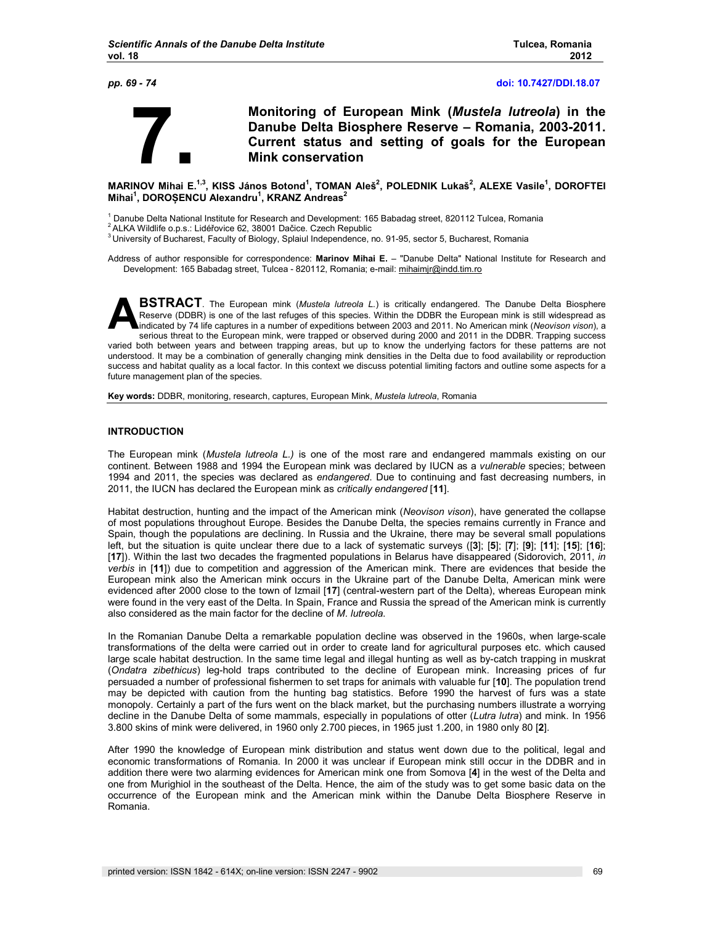

 **7. Monitoring of European Mink (***Mustela lutreola***) in the Danube Delta Biosphere Reserve – Romania, 2003-2011. Current status and setting of goals for the European Mink conservation** 

**MARINOV Mihai E.1,3, KISS János Botond<sup>1</sup> , TOMAN Aleš<sup>2</sup> , POLEDNIK Lukaš<sup>2</sup> , ALEXE Vasile<sup>1</sup> , DOROFTEI Mihai<sup>1</sup> , DOROȘENCU Alexandru<sup>1</sup> , KRANZ Andreas<sup>2</sup>**

1 Danube Delta National Institute for Research and Development: 165 Babadag street, 820112 Tulcea, Romania

<sup>2</sup> ALKA Wildlife o.p.s.: Lidéřovice 62, 38001 Dačice. Czech Republic

Address of author responsible for correspondence: **Marinov Mihai E.** – "Danube Delta" National Institute for Research and Development: 165 Babadag street, Tulcea - 820112, Romania; e-mail: mihaimjr@indd.tim.ro

**BSTRACT**. The European mink (*Mustela lutreola L.*) is critically endangered. The Danube Delta Biosphere Reserve (DDBR) is one of the last refuges of this species. Within the DDBR the European mink is still widespread as indicated by 74 life captures in a number of expeditions between 2003 and 2011. No American mink (*Neovison vison*), a serious threat to the European mink, were trapped or observed during 2000 and 2011 in the DDBR. Trapping success varied both between years and between trapping areas, but up to know the underlying factors for these patterns are not understood. It may be a combination of generally changing mink densities in the Delta due to food availability or reproduction success and habitat quality as a local factor. In this context we discuss potential limiting factors and outline some aspects for a future management plan of the species. **A**

**Key words:** DDBR, monitoring, research, captures, European Mink, *Mustela lutreola*, Romania

#### **INTRODUCTION**

The European mink (*Mustela lutreola L.)* is one of the most rare and endangered mammals existing on our continent. Between 1988 and 1994 the European mink was declared by IUCN as a *vulnerable* species; between 1994 and 2011, the species was declared as *endangered*. Due to continuing and fast decreasing numbers, in 2011, the IUCN has declared the European mink as *critically endangered* [**11**].

Habitat destruction, hunting and the impact of the American mink (*Neovison vison*), have generated the collapse of most populations throughout Europe. Besides the Danube Delta, the species remains currently in France and Spain, though the populations are declining. In Russia and the Ukraine, there may be several small populations left, but the situation is quite unclear there due to a lack of systematic surveys ([**3**]; [**5**]; [**7**]; [**9**]; [**11**]; [**15**]; [**16**]; [**17**]). Within the last two decades the fragmented populations in Belarus have disappeared (Sidorovich, 2011, *in verbis* in [**11**]) due to competition and aggression of the American mink. There are evidences that beside the European mink also the American mink occurs in the Ukraine part of the Danube Delta, American mink were evidenced after 2000 close to the town of Izmail [**17**] (central-western part of the Delta), whereas European mink were found in the very east of the Delta. In Spain, France and Russia the spread of the American mink is currently also considered as the main factor for the decline of *M. lutreola*.

In the Romanian Danube Delta a remarkable population decline was observed in the 1960s, when large-scale transformations of the delta were carried out in order to create land for agricultural purposes etc. which caused large scale habitat destruction. In the same time legal and illegal hunting as well as by-catch trapping in muskrat (*Ondatra zibethicus*) leg-hold traps contributed to the decline of European mink. Increasing prices of fur persuaded a number of professional fishermen to set traps for animals with valuable fur [**10**]. The population trend may be depicted with caution from the hunting bag statistics. Before 1990 the harvest of furs was a state monopoly. Certainly a part of the furs went on the black market, but the purchasing numbers illustrate a worrying decline in the Danube Delta of some mammals, especially in populations of otter (*Lutra lutra*) and mink. In 1956 3.800 skins of mink were delivered, in 1960 only 2.700 pieces, in 1965 just 1.200, in 1980 only 80 [**2**].

After 1990 the knowledge of European mink distribution and status went down due to the political, legal and economic transformations of Romania. In 2000 it was unclear if European mink still occur in the DDBR and in addition there were two alarming evidences for American mink one from Somova [**4**] in the west of the Delta and one from Murighiol in the southeast of the Delta. Hence, the aim of the study was to get some basic data on the occurrence of the European mink and the American mink within the Danube Delta Biosphere Reserve in Romania.

<sup>&</sup>lt;sup>3</sup> University of Bucharest, Faculty of Biology, Splaiul Independence, no. 91-95, sector 5, Bucharest, Romania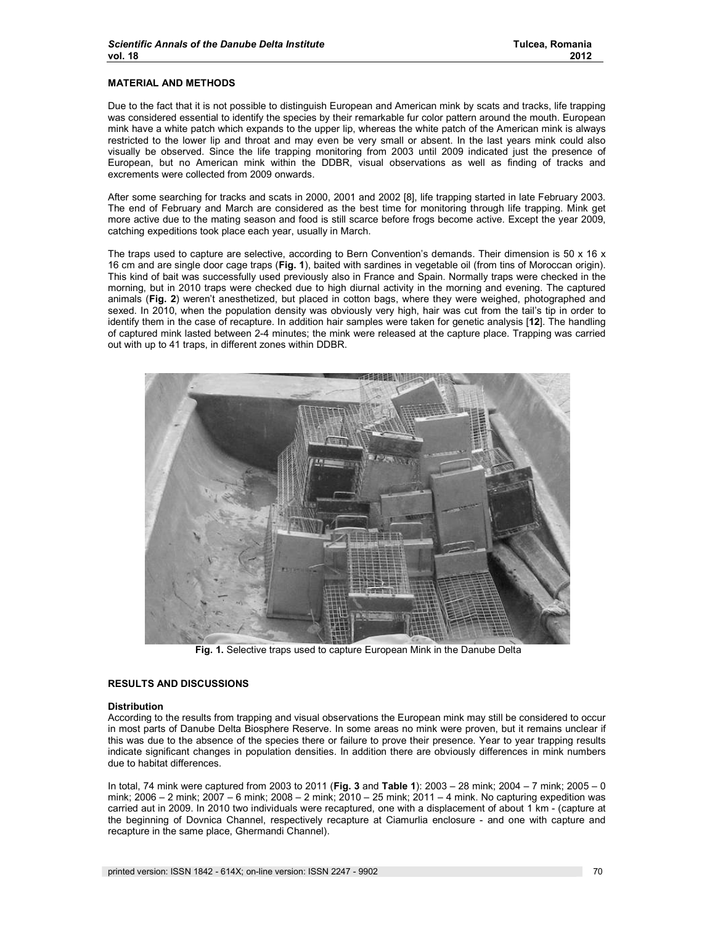#### **MATERIAL AND METHODS**

Due to the fact that it is not possible to distinguish European and American mink by scats and tracks, life trapping was considered essential to identify the species by their remarkable fur color pattern around the mouth. European mink have a white patch which expands to the upper lip, whereas the white patch of the American mink is always restricted to the lower lip and throat and may even be very small or absent. In the last years mink could also visually be observed. Since the life trapping monitoring from 2003 until 2009 indicated just the presence of European, but no American mink within the DDBR, visual observations as well as finding of tracks and excrements were collected from 2009 onwards.

After some searching for tracks and scats in 2000, 2001 and 2002 [8], life trapping started in late February 2003. The end of February and March are considered as the best time for monitoring through life trapping. Mink get more active due to the mating season and food is still scarce before frogs become active. Except the year 2009, catching expeditions took place each year, usually in March.

The traps used to capture are selective, according to Bern Convention's demands. Their dimension is 50 x 16 x 16 cm and are single door cage traps (**Fig. 1**), baited with sardines in vegetable oil (from tins of Moroccan origin). This kind of bait was successfully used previously also in France and Spain. Normally traps were checked in the morning, but in 2010 traps were checked due to high diurnal activity in the morning and evening. The captured animals (**Fig. 2**) weren't anesthetized, but placed in cotton bags, where they were weighed, photographed and sexed. In 2010, when the population density was obviously very high, hair was cut from the tail's tip in order to identify them in the case of recapture. In addition hair samples were taken for genetic analysis [**12**]. The handling of captured mink lasted between 2-4 minutes; the mink were released at the capture place. Trapping was carried out with up to 41 traps, in different zones within DDBR.



**Fig. 1.** Selective traps used to capture European Mink in the Danube Delta

# **RESULTS AND DISCUSSIONS**

#### **Distribution**

According to the results from trapping and visual observations the European mink may still be considered to occur in most parts of Danube Delta Biosphere Reserve. In some areas no mink were proven, but it remains unclear if this was due to the absence of the species there or failure to prove their presence. Year to year trapping results indicate significant changes in population densities. In addition there are obviously differences in mink numbers due to habitat differences.

In total, 74 mink were captured from 2003 to 2011 (**Fig. 3** and **Table 1**): 2003 – 28 mink; 2004 – 7 mink; 2005 – 0 mink; 2006 – 2 mink; 2007 – 6 mink; 2008 – 2 mink; 2010 – 25 mink; 2011 – 4 mink. No capturing expedition was carried aut in 2009. In 2010 two individuals were recaptured, one with a displacement of about 1 km - (capture at the beginning of Dovnica Channel, respectively recapture at Ciamurlia enclosure - and one with capture and recapture in the same place, Ghermandi Channel).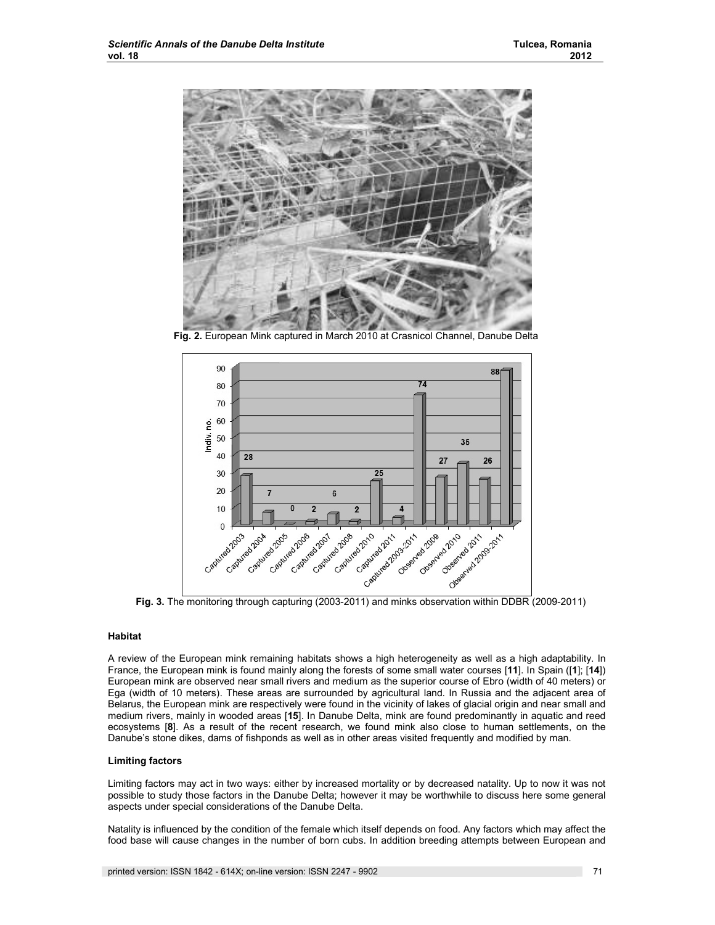

**Fig. 2.** European Mink captured in March 2010 at Crasnicol Channel, Danube Delta



**Fig. 3.** The monitoring through capturing (2003-2011) and minks observation within DDBR (2009-2011)

## **Habitat**

A review of the European mink remaining habitats shows a high heterogeneity as well as a high adaptability. In France, the European mink is found mainly along the forests of some small water courses [**11**]. In Spain ([**1**]; [**14**]) European mink are observed near small rivers and medium as the superior course of Ebro (width of 40 meters) or Ega (width of 10 meters). These areas are surrounded by agricultural land. In Russia and the adjacent area of Belarus, the European mink are respectively were found in the vicinity of lakes of glacial origin and near small and medium rivers, mainly in wooded areas [**15**]. In Danube Delta, mink are found predominantly in aquatic and reed ecosystems [**8**]. As a result of the recent research, we found mink also close to human settlements, on the Danube's stone dikes, dams of fishponds as well as in other areas visited frequently and modified by man.

## **Limiting factors**

Limiting factors may act in two ways: either by increased mortality or by decreased natality. Up to now it was not possible to study those factors in the Danube Delta; however it may be worthwhile to discuss here some general aspects under special considerations of the Danube Delta.

Natality is influenced by the condition of the female which itself depends on food. Any factors which may affect the food base will cause changes in the number of born cubs. In addition breeding attempts between European and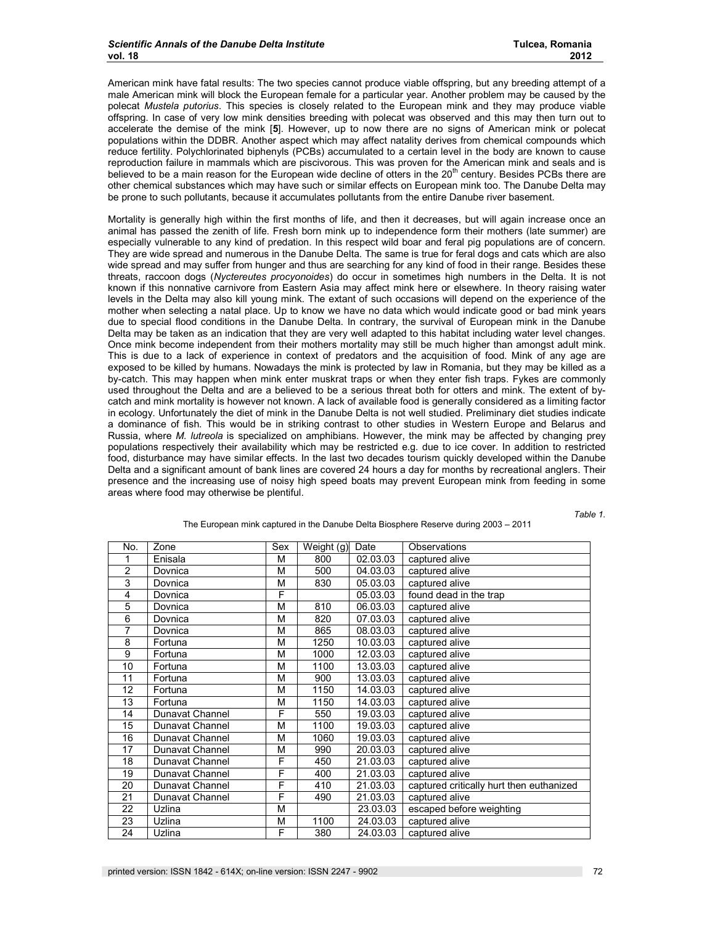American mink have fatal results: The two species cannot produce viable offspring, but any breeding attempt of a male American mink will block the European female for a particular year. Another problem may be caused by the polecat *Mustela putorius*. This species is closely related to the European mink and they may produce viable offspring. In case of very low mink densities breeding with polecat was observed and this may then turn out to accelerate the demise of the mink [**5**]. However, up to now there are no signs of American mink or polecat populations within the DDBR. Another aspect which may affect natality derives from chemical compounds which reduce fertility. Polychlorinated biphenyls (PCBs) accumulated to a certain level in the body are known to cause reproduction failure in mammals which are piscivorous. This was proven for the American mink and seals and is believed to be a main reason for the European wide decline of otters in the  $20<sup>th</sup>$  century. Besides PCBs there are other chemical substances which may have such or similar effects on European mink too. The Danube Delta may be prone to such pollutants, because it accumulates pollutants from the entire Danube river basement.

Mortality is generally high within the first months of life, and then it decreases, but will again increase once an animal has passed the zenith of life. Fresh born mink up to independence form their mothers (late summer) are especially vulnerable to any kind of predation. In this respect wild boar and feral pig populations are of concern. They are wide spread and numerous in the Danube Delta. The same is true for feral dogs and cats which are also wide spread and may suffer from hunger and thus are searching for any kind of food in their range. Besides these threats, raccoon dogs (*Nyctereutes procyonoides*) do occur in sometimes high numbers in the Delta. It is not known if this nonnative carnivore from Eastern Asia may affect mink here or elsewhere. In theory raising water levels in the Delta may also kill young mink. The extant of such occasions will depend on the experience of the mother when selecting a natal place. Up to know we have no data which would indicate good or bad mink years due to special flood conditions in the Danube Delta. In contrary, the survival of European mink in the Danube Delta may be taken as an indication that they are very well adapted to this habitat including water level changes. Once mink become independent from their mothers mortality may still be much higher than amongst adult mink. This is due to a lack of experience in context of predators and the acquisition of food. Mink of any age are exposed to be killed by humans. Nowadays the mink is protected by law in Romania, but they may be killed as a by-catch. This may happen when mink enter muskrat traps or when they enter fish traps. Fykes are commonly used throughout the Delta and are a believed to be a serious threat both for otters and mink. The extent of bycatch and mink mortality is however not known. A lack of available food is generally considered as a limiting factor in ecology. Unfortunately the diet of mink in the Danube Delta is not well studied. Preliminary diet studies indicate a dominance of fish. This would be in striking contrast to other studies in Western Europe and Belarus and Russia, where *M. lutreola* is specialized on amphibians. However, the mink may be affected by changing prey populations respectively their availability which may be restricted e.g. due to ice cover. In addition to restricted food, disturbance may have similar effects. In the last two decades tourism quickly developed within the Danube Delta and a significant amount of bank lines are covered 24 hours a day for months by recreational anglers. Their presence and the increasing use of noisy high speed boats may prevent European mink from feeding in some areas where food may otherwise be plentiful.

*Table 1.* 

| No.            | Zone            | Sex | Weight (g) | Date     | Observations                             |
|----------------|-----------------|-----|------------|----------|------------------------------------------|
| 1              | Enisala         | М   | 800        | 02.03.03 | captured alive                           |
| $\overline{2}$ | Dovnica         | М   | 500        | 04.03.03 | captured alive                           |
| 3              | Dovnica         | М   | 830        | 05.03.03 | captured alive                           |
| $\overline{4}$ | Dovnica         | F   |            | 05.03.03 | found dead in the trap                   |
| 5              | Dovnica         | M   | 810        | 06.03.03 | captured alive                           |
| 6              | Dovnica         | М   | 820        | 07.03.03 | captured alive                           |
| 7              | Dovnica         | М   | 865        | 08.03.03 | captured alive                           |
| 8              | Fortuna         | М   | 1250       | 10.03.03 | captured alive                           |
| 9              | Fortuna         | M   | 1000       | 12.03.03 | captured alive                           |
| 10             | Fortuna         | M   | 1100       | 13.03.03 | captured alive                           |
| 11             | Fortuna         | M   | 900        | 13.03.03 | captured alive                           |
| 12             | Fortuna         | М   | 1150       | 14.03.03 | captured alive                           |
| 13             | Fortuna         | М   | 1150       | 14.03.03 | captured alive                           |
| 14             | Dunavat Channel | F   | 550        | 19.03.03 | captured alive                           |
| 15             | Dunavat Channel | M   | 1100       | 19.03.03 | captured alive                           |
| 16             | Dunavat Channel | М   | 1060       | 19.03.03 | captured alive                           |
| 17             | Dunavat Channel | М   | 990        | 20.03.03 | captured alive                           |
| 18             | Dunavat Channel | F   | 450        | 21.03.03 | captured alive                           |
| 19             | Dunavat Channel | F   | 400        | 21.03.03 | captured alive                           |
| 20             | Dunavat Channel | F   | 410        | 21.03.03 | captured critically hurt then euthanized |
| 21             | Dunavat Channel | F   | 490        | 21.03.03 | captured alive                           |
| 22             | Uzlina          | М   |            | 23.03.03 | escaped before weighting                 |
| 23             | Uzlina          | М   | 1100       | 24.03.03 | captured alive                           |
| 24             | Uzlina          | F   | 380        | 24.03.03 | captured alive                           |

The European mink captured in the Danube Delta Biosphere Reserve during 2003 – 2011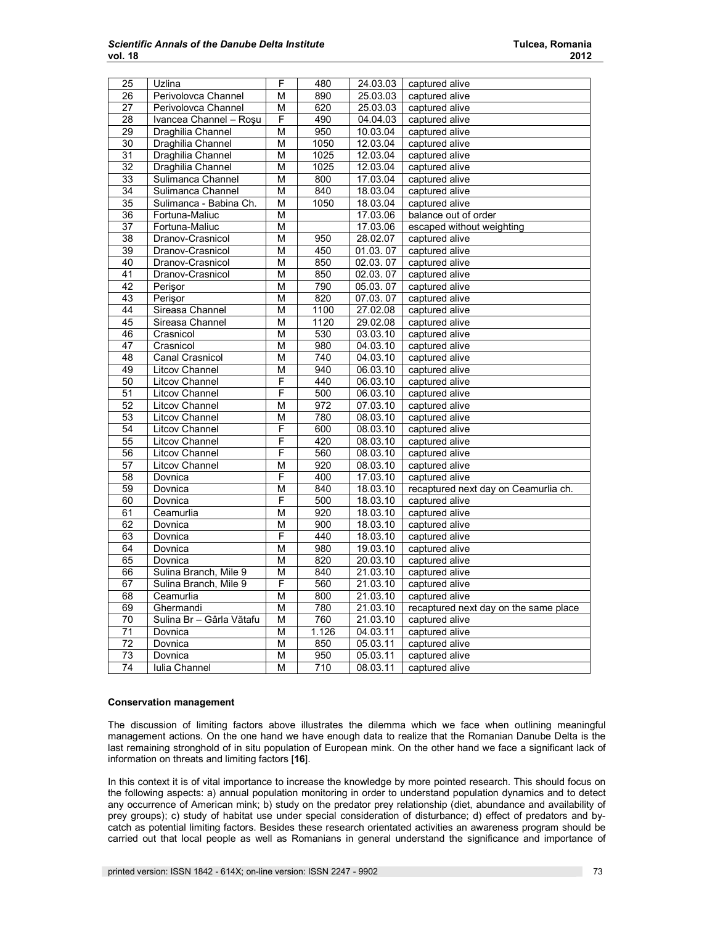| 25              | Uzlina                   | F                       | 480              | 24.03.03 | captured alive                        |
|-----------------|--------------------------|-------------------------|------------------|----------|---------------------------------------|
| 26              | Perivolovca Channel      | M                       | 890              | 25.03.03 | captured alive                        |
| 27              | Perivolovca Channel      | M                       | 620              | 25.03.03 | captured alive                        |
| 28              | Ivancea Channel - Roșu   | F                       | 490              | 04.04.03 | captured alive                        |
| 29              | Draghilia Channel        | $\overline{\mathsf{M}}$ | 950              | 10.03.04 | captured alive                        |
| $\overline{30}$ | Draghilia Channel        | $\overline{M}$          | 1050             | 12.03.04 | captured alive                        |
| $\overline{31}$ | Draghilia Channel        | M                       | $\frac{1025}{ }$ | 12.03.04 | captured alive                        |
| $\overline{32}$ | Draghilia Channel        | M                       | 1025             | 12.03.04 | captured alive                        |
| 33              | Sulimanca Channel        | M                       | 800              | 17.03.04 | captured alive                        |
| 34              | Sulimanca Channel        | M                       | 840              | 18.03.04 | captured alive                        |
| $\overline{35}$ | Sulimanca - Babina Ch.   | M                       | 1050             | 18.03.04 | captured alive                        |
| 36              | Fortuna-Maliuc           | M                       |                  | 17.03.06 | balance out of order                  |
| $\overline{37}$ | Fortuna-Maliuc           | M                       |                  | 17.03.06 | escaped without weighting             |
| 38              | Dranov-Crasnicol         | M                       | 950              | 28.02.07 | captured alive                        |
| 39              | Dranov-Crasnicol         | M                       | 450              | 01.03.07 | captured alive                        |
| 40              | Dranov-Crasnicol         | $\overline{\mathsf{M}}$ | 850              | 02.03.07 | captured alive                        |
| 41              | Dranov-Crasnicol         | M                       | 850              | 02.03.07 | captured alive                        |
| 42              | Perişor                  | M                       | 790              | 05.03.07 | captured alive                        |
| 43              | Perişor                  | M                       | 820              | 07.03.07 | captured alive                        |
| 44              | Sireasa Channel          | M                       | 1100             | 27.02.08 | captured alive                        |
| 45              | Sireasa Channel          | M                       | 1120             | 29.02.08 | captured alive                        |
| 46              | Crasnicol                | M                       | 530              | 03.03.10 | captured alive                        |
| 47              | Crasnicol                | M                       | 980              | 04.03.10 | captured alive                        |
| 48              | <b>Canal Crasnicol</b>   | M                       | 740              | 04.03.10 | captured alive                        |
| 49              | Litcov Channel           | M                       | 940              | 06.03.10 | captured alive                        |
| 50              | <b>Litcov Channel</b>    | F                       | 440              | 06.03.10 | captured alive                        |
| 51              | Litcov Channel           | $\overline{\mathsf{F}}$ | 500              | 06.03.10 | captured alive                        |
| 52              | <b>Litcov Channel</b>    | M                       | $\overline{972}$ | 07.03.10 | captured alive                        |
| $\overline{53}$ | <b>Litcov Channel</b>    | M                       | 780              | 08.03.10 | captured alive                        |
| 54              | <b>Litcov Channel</b>    | F                       | 600              | 08.03.10 | captured alive                        |
| 55              | <b>Litcov Channel</b>    | F                       | 420              | 08.03.10 | captured alive                        |
| 56              | <b>Litcov Channel</b>    | F                       | 560              | 08.03.10 | captured alive                        |
| 57              | <b>Litcov Channel</b>    | M                       | 920              | 08.03.10 | captured alive                        |
| 58              | Dovnica                  | F                       | 400              | 17.03.10 | captured alive                        |
| 59              | Dovnica                  | M                       | 840              | 18.03.10 | recaptured next day on Ceamurlia ch.  |
| 60              | Dovnica                  | F                       | 500              | 18.03.10 | captured alive                        |
| 61              | Ceamurlia                | $\overline{\mathsf{M}}$ | 920              | 18.03.10 | captured alive                        |
| 62              | Dovnica                  | M                       | 900              | 18.03.10 | captured alive                        |
| 63              | Dovnica                  | F                       | 440              | 18.03.10 | captured alive                        |
| 64              | Dovnica                  | M                       | 980              | 19.03.10 | captured alive                        |
| 65              | Dovnica                  | M                       | 820              | 20.03.10 | captured alive                        |
| 66              | Sulina Branch, Mile 9    | M                       | 840              | 21.03.10 | captured alive                        |
| 67              | Sulina Branch, Mile 9    | F                       | 560              | 21.03.10 | captured alive                        |
| 68              | Ceamurlia                | M                       | 800              | 21.03.10 | captured alive                        |
| 69              | Ghermandi                | M                       | 780              | 21.03.10 | recaptured next day on the same place |
| 70              | Sulina Br - Gârla Vătafu | M                       | 760              | 21.03.10 | captured alive                        |
| 71              | Dovnica                  | M                       | 1.126            | 04.03.11 | captured alive                        |
| 72              | Dovnica                  | M                       | 850              | 05.03.11 | captured alive                        |
| 73              | Dovnica                  | M                       | 950              | 05.03.11 | captured alive                        |
| 74              | Iulia Channel            | M                       | 710              | 08.03.11 | captured alive                        |

## **Conservation management**

The discussion of limiting factors above illustrates the dilemma which we face when outlining meaningful management actions. On the one hand we have enough data to realize that the Romanian Danube Delta is the last remaining stronghold of in situ population of European mink. On the other hand we face a significant lack of information on threats and limiting factors [**16**].

In this context it is of vital importance to increase the knowledge by more pointed research. This should focus on the following aspects: a) annual population monitoring in order to understand population dynamics and to detect any occurrence of American mink; b) study on the predator prey relationship (diet, abundance and availability of prey groups); c) study of habitat use under special consideration of disturbance; d) effect of predators and bycatch as potential limiting factors. Besides these research orientated activities an awareness program should be carried out that local people as well as Romanians in general understand the significance and importance of